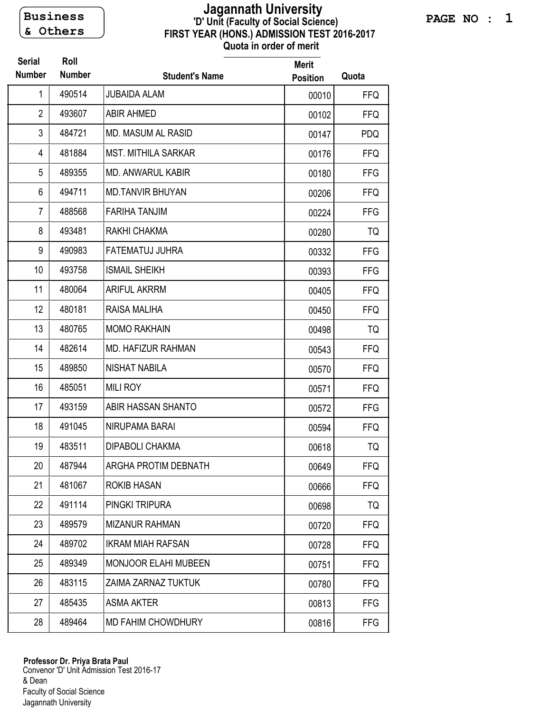**& Others** 

## **FIRST YEAR (HONS.) ADMISSION TEST 2016-2017 Quota in order of merit 'D' Unit (Faculty of Social Science) Jagannath University Business**

| <b>Serial</b><br><b>Number</b> | Roll<br><b>Number</b> | <b>Student's Name</b>       | <b>Merit</b><br><b>Position</b> | Quota      |
|--------------------------------|-----------------------|-----------------------------|---------------------------------|------------|
| 1                              | 490514                | <b>JUBAIDA ALAM</b>         | 00010                           | <b>FFQ</b> |
| $\overline{2}$                 | 493607                | <b>ABIR AHMED</b>           | 00102                           | <b>FFQ</b> |
| 3                              | 484721                | <b>MD. MASUM AL RASID</b>   | 00147                           | <b>PDQ</b> |
| 4                              | 481884                | <b>MST. MITHILA SARKAR</b>  | 00176                           | <b>FFQ</b> |
| 5                              | 489355                | <b>MD. ANWARUL KABIR</b>    | 00180                           | <b>FFG</b> |
| 6                              | 494711                | <b>MD.TANVIR BHUYAN</b>     | 00206                           | <b>FFQ</b> |
| 7                              | 488568                | <b>FARIHA TANJIM</b>        | 00224                           | <b>FFG</b> |
| 8                              | 493481                | RAKHI CHAKMA                | 00280                           | TQ         |
| 9                              | 490983                | <b>FATEMATUJ JUHRA</b>      | 00332                           | <b>FFG</b> |
| 10                             | 493758                | <b>ISMAIL SHEIKH</b>        | 00393                           | <b>FFG</b> |
| 11                             | 480064                | <b>ARIFUL AKRRM</b>         | 00405                           | <b>FFQ</b> |
| 12                             | 480181                | RAISA MALIHA                | 00450                           | <b>FFQ</b> |
| 13                             | 480765                | <b>MOMO RAKHAIN</b>         | 00498                           | TQ         |
| 14                             | 482614                | <b>MD. HAFIZUR RAHMAN</b>   | 00543                           | <b>FFQ</b> |
| 15                             | 489850                | <b>NISHAT NABILA</b>        | 00570                           | <b>FFQ</b> |
| 16                             | 485051                | <b>MILI ROY</b>             | 00571                           | <b>FFQ</b> |
| 17                             | 493159                | ABIR HASSAN SHANTO          | 00572                           | <b>FFG</b> |
| 18                             | 491045                | NIRUPAMA BARAI              | 00594                           | <b>FFQ</b> |
| 19                             | 483511                | <b>DIPABOLI CHAKMA</b>      | 00618                           | TQ         |
| 20                             | 487944                | ARGHA PROTIM DEBNATH        | 00649                           | <b>FFQ</b> |
| 21                             | 481067                | <b>ROKIB HASAN</b>          | 00666                           | <b>FFQ</b> |
| 22                             | 491114                | PINGKI TRIPURA              | 00698                           | TQ         |
| 23                             | 489579                | <b>MIZANUR RAHMAN</b>       | 00720                           | <b>FFQ</b> |
| 24                             | 489702                | <b>IKRAM MIAH RAFSAN</b>    | 00728                           | <b>FFQ</b> |
| 25                             | 489349                | <b>MONJOOR ELAHI MUBEEN</b> | 00751                           | <b>FFQ</b> |
| 26                             | 483115                | ZAIMA ZARNAZ TUKTUK         | 00780                           | <b>FFQ</b> |
| 27                             | 485435                | <b>ASMA AKTER</b>           | 00813                           | <b>FFG</b> |
| 28                             | 489464                | MD FAHIM CHOWDHURY          | 00816                           | <b>FFG</b> |

Convenor 'D' Unit Admission Test 2016-17 & Dean Faculty of Social Science Jagannath University **Professor Dr. Priya Brata Paul**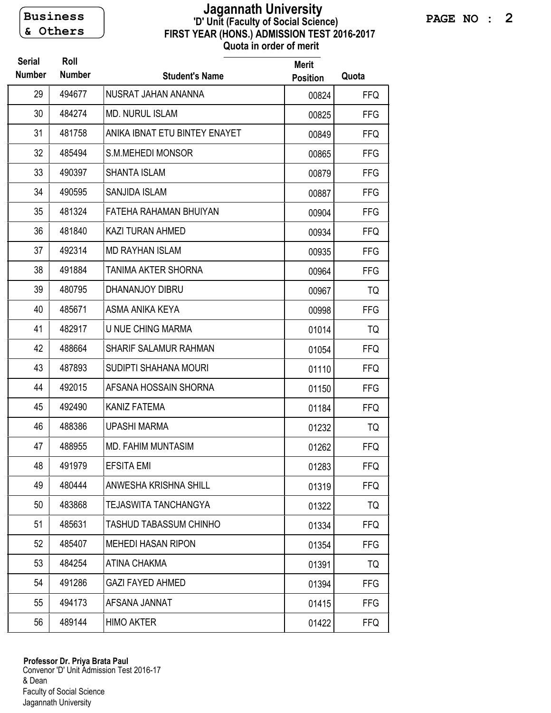**& Others** 

## **FIRST YEAR (HONS.) ADMISSION TEST 2016-2017 Quota in order of merit 'D' Unit (Faculty of Social Science) Jagannath University Business**

| <b>Serial</b><br><b>Number</b> | Roll<br><b>Number</b> | <b>Student's Name</b>         | <b>Merit</b><br><b>Position</b> | Quota      |
|--------------------------------|-----------------------|-------------------------------|---------------------------------|------------|
| 29                             | 494677                | NUSRAT JAHAN ANANNA           | 00824                           | <b>FFQ</b> |
| 30                             | 484274                | <b>MD. NURUL ISLAM</b>        | 00825                           | <b>FFG</b> |
| 31                             | 481758                | ANIKA IBNAT ETU BINTEY ENAYET | 00849                           | <b>FFQ</b> |
| 32                             | 485494                | S.M.MEHEDI MONSOR             | 00865                           | <b>FFG</b> |
| 33                             | 490397                | <b>SHANTA ISLAM</b>           | 00879                           | <b>FFG</b> |
| 34                             | 490595                | SANJIDA ISLAM                 | 00887                           | <b>FFG</b> |
| 35                             | 481324                | FATEHA RAHAMAN BHUIYAN        | 00904                           | <b>FFG</b> |
| 36                             | 481840                | <b>KAZI TURAN AHMED</b>       | 00934                           | <b>FFQ</b> |
| 37                             | 492314                | <b>MD RAYHAN ISLAM</b>        | 00935                           | <b>FFG</b> |
| 38                             | 491884                | TANIMA AKTER SHORNA           | 00964                           | <b>FFG</b> |
| 39                             | 480795                | DHANANJOY DIBRU               | 00967                           | TQ         |
| 40                             | 485671                | ASMA ANIKA KEYA               | 00998                           | <b>FFG</b> |
| 41                             | 482917                | U NUE CHING MARMA             | 01014                           | TQ         |
| 42                             | 488664                | <b>SHARIF SALAMUR RAHMAN</b>  | 01054                           | <b>FFQ</b> |
| 43                             | 487893                | SUDIPTI SHAHANA MOURI         | 01110                           | <b>FFQ</b> |
| 44                             | 492015                | AFSANA HOSSAIN SHORNA         | 01150                           | <b>FFG</b> |
| 45                             | 492490                | KANIZ FATEMA                  | 01184                           | <b>FFQ</b> |
| 46                             | 488386                | <b>UPASHI MARMA</b>           | 01232                           | TQ         |
| 47                             | 488955                | <b>MD. FAHIM MUNTASIM</b>     | 01262                           | <b>FFQ</b> |
| 48                             | 491979                | <b>EFSITA EMI</b>             | 01283                           | <b>FFQ</b> |
| 49                             | 480444                | ANWESHA KRISHNA SHILL         | 01319                           | <b>FFQ</b> |
| 50                             | 483868                | <b>TEJASWITA TANCHANGYA</b>   | 01322                           | TQ         |
| 51                             | 485631                | <b>TASHUD TABASSUM CHINHO</b> | 01334                           | <b>FFQ</b> |
| 52                             | 485407                | <b>MEHEDI HASAN RIPON</b>     | 01354                           | <b>FFG</b> |
| 53                             | 484254                | <b>ATINA CHAKMA</b>           | 01391                           | TQ         |
| 54                             | 491286                | <b>GAZI FAYED AHMED</b>       | 01394                           | <b>FFG</b> |
| 55                             | 494173                | AFSANA JANNAT                 | 01415                           | <b>FFG</b> |
| 56                             | 489144                | <b>HIMO AKTER</b>             | 01422                           | <b>FFQ</b> |

Convenor 'D' Unit Admission Test 2016-17 & Dean Faculty of Social Science Jagannath University **Professor Dr. Priya Brata Paul**